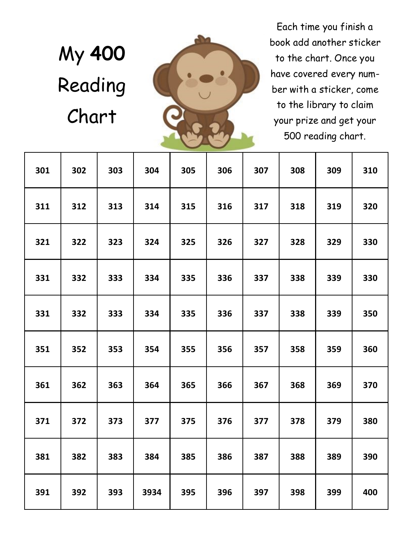# My **400**  Reading Chart



Each time you finish a book add another sticker to the chart. Once you have covered every number with a sticker, come to the library to claim your prize and get your 500 reading chart.

| 301 | 302 | 303 | 304  | 305 | 306 | 307 | 308 | 309 | 310 |
|-----|-----|-----|------|-----|-----|-----|-----|-----|-----|
| 311 | 312 | 313 | 314  | 315 | 316 | 317 | 318 | 319 | 320 |
| 321 | 322 | 323 | 324  | 325 | 326 | 327 | 328 | 329 | 330 |
| 331 | 332 | 333 | 334  | 335 | 336 | 337 | 338 | 339 | 330 |
| 331 | 332 | 333 | 334  | 335 | 336 | 337 | 338 | 339 | 350 |
| 351 | 352 | 353 | 354  | 355 | 356 | 357 | 358 | 359 | 360 |
| 361 | 362 | 363 | 364  | 365 | 366 | 367 | 368 | 369 | 370 |
| 371 | 372 | 373 | 377  | 375 | 376 | 377 | 378 | 379 | 380 |
| 381 | 382 | 383 | 384  | 385 | 386 | 387 | 388 | 389 | 390 |
| 391 | 392 | 393 | 3934 | 395 | 396 | 397 | 398 | 399 | 400 |